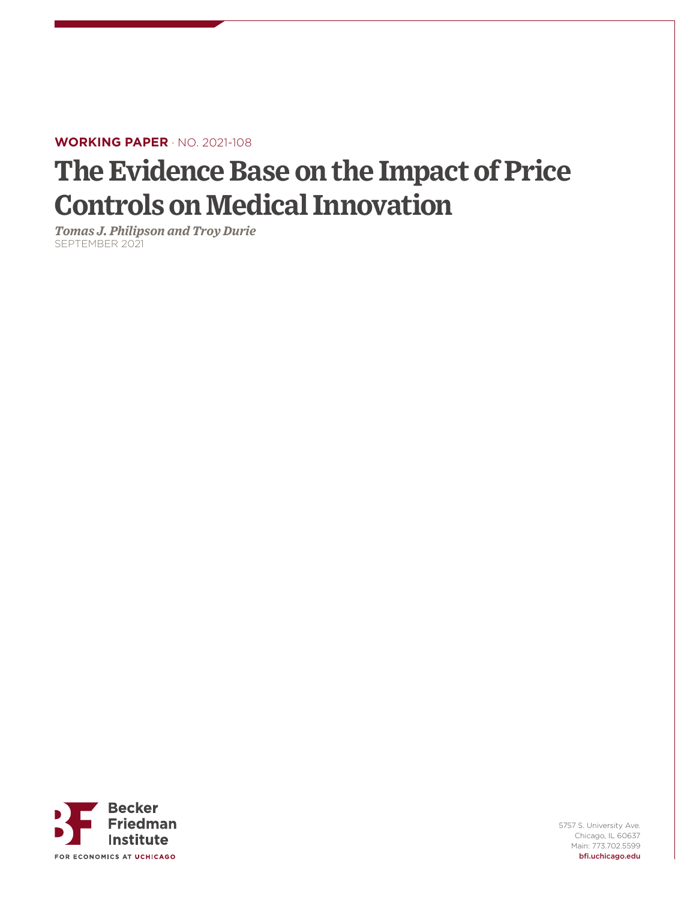### **WORKING PAPER** · NO. 2021-108

# **The Evidence Base on the Impact of Price Controls on Medical Innovation**

*Tomas J. Philipson and Troy Durie* SEPTEMBER 2021



5757 S. University Ave. Chicago, IL 60637 Main: 773.702.5599 bfi.uchicago.edu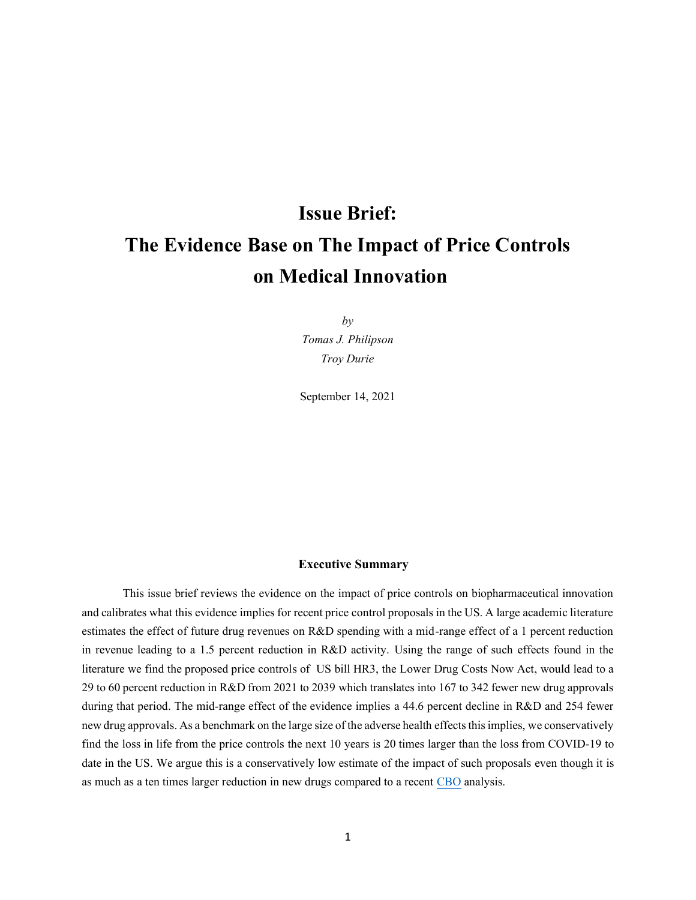## **Issue Brief: The Evidence Base on The Impact of Price Controls on Medical Innovation**

*by Tomas J. Philipson Troy Durie*

September 14, 2021

#### **Executive Summary**

This issue brief reviews the evidence on the impact of price controls on biopharmaceutical innovation and calibrates what this evidence implies for recent price control proposals in the US. A large academic literature estimates the effect of future drug revenues on R&D spending with a mid-range effect of a 1 percent reduction in revenue leading to a 1.5 percent reduction in R&D activity. Using the range of such effects found in the literature we find the proposed price controls of US bill HR3, the Lower Drug Costs Now Act, would lead to a 29 to 60 percent reduction in R&D from 2021 to 2039 which translates into 167 to 342 fewer new drug approvals during that period. The mid-range effect of the evidence implies a 44.6 percent decline in R&D and 254 fewer new drug approvals. As a benchmark on the large size of the adverse health effects this implies, we conservatively find the loss in life from the price controls the next 10 years is 20 times larger than the loss from COVID-19 to date in the US. We argue this is a conservatively low estimate of the impact of such proposals even though it is as much as a ten times larger reduction in new drugs compared to a recent [CBO](https://www.cbo.gov/system/files/2019-12/hr3_complete.pdf) analysis.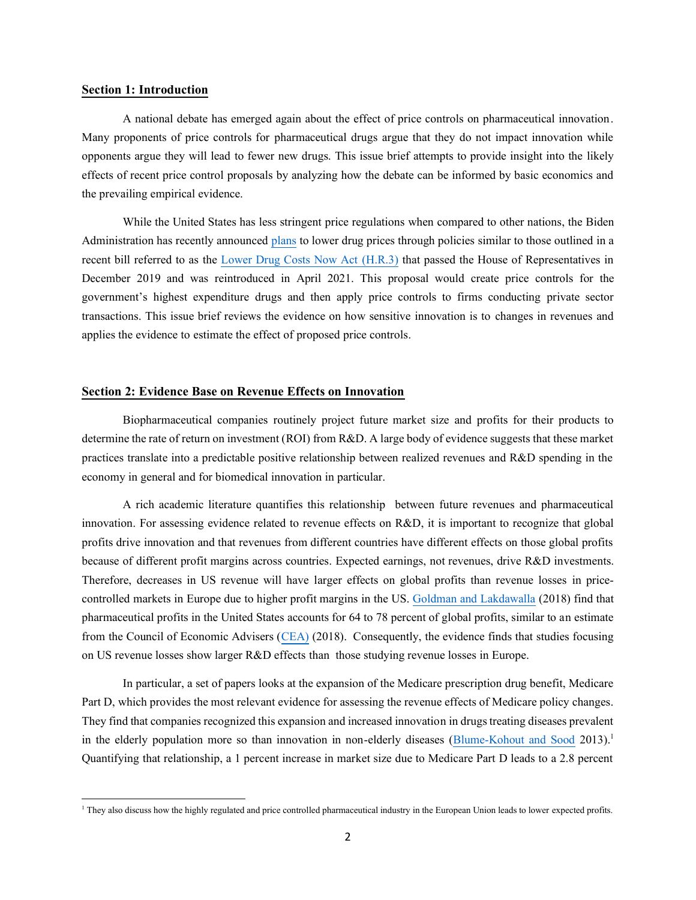#### **Section 1: Introduction**

A national debate has emerged again about the effect of price controls on pharmaceutical innovation. Many proponents of price controls for pharmaceutical drugs argue that they do not impact innovation while opponents argue they will lead to fewer new drugs. This issue brief attempts to provide insight into the likely effects of recent price control proposals by analyzing how the debate can be informed by basic economics and the prevailing empirical evidence.

While the United States has less stringent price regulations when compared to other nations, the Biden Administration has recently announced [plans](https://aspe.hhs.gov/reports/comprehensive-plan-addressing-high-drug-prices) to lower drug prices through policies similar to those outlined in a recent bill referred to as the [Lower Drug Costs Now Act \(H.R.3\)](https://www.congress.gov/bill/116th-congress/house-bill/3) that passed the House of Representatives in December 2019 and was reintroduced in April 2021. This proposal would create price controls for the government's highest expenditure drugs and then apply price controls to firms conducting private sector transactions. This issue brief reviews the evidence on how sensitive innovation is to changes in revenues and applies the evidence to estimate the effect of proposed price controls.

#### **Section 2: Evidence Base on Revenue Effects on Innovation**

Biopharmaceutical companies routinely project future market size and profits for their products to determine the rate of return on investment (ROI) from R&D. A large body of evidence suggests that these market practices translate into a predictable positive relationship between realized revenues and R&D spending in the economy in general and for biomedical innovation in particular.

A rich academic literature quantifies this relationship between future revenues and pharmaceutical innovation. For assessing evidence related to revenue effects on R&D, it is important to recognize that global profits drive innovation and that revenues from different countries have different effects on those global profits because of different profit margins across countries. Expected earnings, not revenues, drive R&D investments. Therefore, decreases in US revenue will have larger effects on global profits than revenue losses in pricecontrolled markets in Europe due to higher profit margins in the US. [Goldman and Lakdawalla](https://healthpolicy.usc.edu/research/global-burden-of-medical-innovation/) (2018) find that pharmaceutical profits in the United States accounts for 64 to 78 percent of global profits, similar to an estimate from the Council of Economic Advisers [\(CEA\)](https://trumpwhitehouse.archives.gov/wp-content/uploads/2017/11/CEA-Rx-White-Paper-Final2.pdf) (2018). Consequently, the evidence finds that studies focusing on US revenue losses show larger R&D effects than those studying revenue losses in Europe.

In particular, a set of papers looks at the expansion of the Medicare prescription drug benefit, Medicare Part D, which provides the most relevant evidence for assessing the revenue effects of Medicare policy changes. They find that companies recognized this expansion and increased innovation in drugs treating diseases prevalent in the elderly population more so than innovation in non-elderly diseases [\(Blume-Kohout and Sood](https://www.sciencedirect.com/science/article/pii/S0047272712001119?casa_token=Id_xlq978SgAAAAA:KEF9hqRFNHDq4wLIKdDZ83zg1iE8SJMNdzv5YFjS2zyUld2AbTfSmnfMqUwqwGzbF3JA3o1JVw) 2013).<sup>1</sup> Quantifying that relationship, a 1 percent increase in market size due to Medicare Part D leads to a 2.8 percent

<sup>1</sup> They also discuss how the highly regulated and price controlled pharmaceutical industry in the European Union leads to lower expected profits.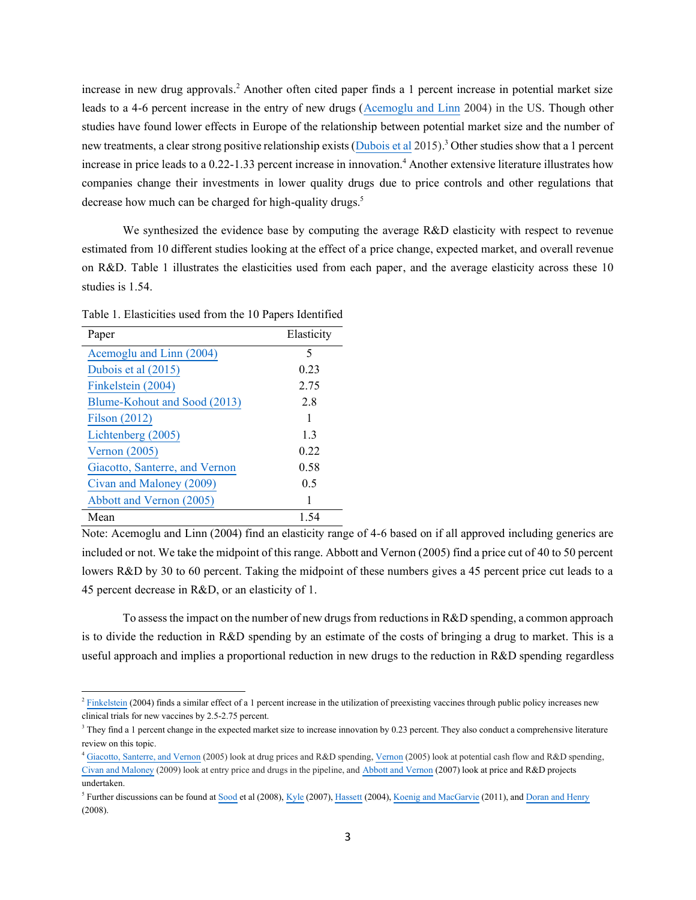increase in new drug approvals. <sup>2</sup> Another often cited paper finds a 1 percent increase in potential market size leads to a 4-6 percent increase in the entry of new drugs [\(Acemoglu and Linn](https://economics.mit.edu/files/4464) 2004) in the US. Though other studies have found lower effects in Europe of the relationship between potential market size and the number of new treatments, a clear strong positive relationship exists (*Dubois et al 2015*).<sup>3</sup> Other studies show that a 1 percent increase in price leads to a 0.22-1.33 percent increase in innovation.<sup>4</sup> Another extensive literature illustrates how companies change their investments in lower quality drugs due to price controls and other regulations that decrease how much can be charged for high-quality drugs.<sup>5</sup>

We synthesized the evidence base by computing the average R&D elasticity with respect to revenue estimated from 10 different studies looking at the effect of a price change, expected market, and overall revenue on R&D. Table 1 illustrates the elasticities used from each paper, and the average elasticity across these 10 studies is 1.54.

| Paper                          | Elasticity |
|--------------------------------|------------|
| Acemoglu and Linn (2004)       | 5          |
| Dubois et al (2015)            | 0.23       |
| Finkelstein (2004)             | 2.75       |
| Blume-Kohout and Sood (2013)   | 2.8        |
| Filson (2012)                  | 1          |
| Lichtenberg (2005)             | 1.3        |
| Vernon $(2005)$                | 0.22       |
| Giacotto, Santerre, and Vernon | 0.58       |
| Civan and Maloney (2009)       | 0.5        |
| Abbott and Vernon (2005)       |            |
| Mean                           | 1.54       |

Table 1. Elasticities used from the 10 Papers Identified

Note: Acemoglu and Linn (2004) find an elasticity range of 4-6 based on if all approved including generics are included or not. We take the midpoint of this range. Abbott and Vernon (2005) find a price cut of 40 to 50 percent lowers R&D by 30 to 60 percent. Taking the midpoint of these numbers gives a 45 percent price cut leads to a 45 percent decrease in R&D, or an elasticity of 1.

To assess the impact on the number of new drugs from reductionsin R&D spending, a common approach is to divide the reduction in R&D spending by an estimate of the costs of bringing a drug to market. This is a useful approach and implies a proportional reduction in new drugs to the reduction in R&D spending regardless

 $^2$  [Finkelstein](https://academic.oup.com/qje/article-abstract/119/2/527/1894514) (2004) finds a similar effect of a 1 percent increase in the utilization of preexisting vaccines through public policy increases new clinical trials for new vaccines by 2.5-2.75 percent.

 $3$  They find a 1 percent change in the expected market size to increase innovation by 0.23 percent. They also conduct a comprehensive literature review on this topic.

<sup>4</sup> [Giacotto, Santerre, and Vernon](https://www.journals.uchicago.edu/doi/10.1086/426882) (2005) look at drug prices and R&D spending[, Vernon](https://www.researchgate.net/publication/247825801_Pharmaceutical_RD_Investment_and_Cash_Flows_An_Instrumental_Variable_Approach_to_Testing_for_Capital_Market_Imperfections) (2005) look at potential cash flow and R&D spending, [Civan and Maloney](https://www.degruyter.com/document/doi/10.2202/1935-1682.1977/html) (2009) look at entry price and drugs in the pipeline, and [Abbott and Vernon](https://onlinelibrary.wiley.com/doi/10.1002/mde.1342) (2007) look at price and R&D projects undertaken.

<sup>&</sup>lt;sup>5</sup> Further discussions can be found a[t Sood](https://www.healthaffairs.org/doi/full/10.1377/hlthaff.28.1.w125) et al (2008), [Kyle](https://doi.org/10.1162/rest.89.1.88) (2007)[, Hassett](https://www.researchgate.net/profile/Kevin-Hassett/publication/252395734_Price_Controls_and_the_Evolution_of_Pharmaceutical_Markets/links/0a85e52fedbfa8afcd000000/Price-Controls-and-the-Evolution-of-Pharmaceutical-Markets.pdf) (2004)[, Koenig and MacGarvie](https://www.sciencedirect.com/science/article/pii/S0167629611000841) (2011), and [Doran and Henry](https://link.springer.com/article/10.1057/palgrave.jphp.3200170) (2008).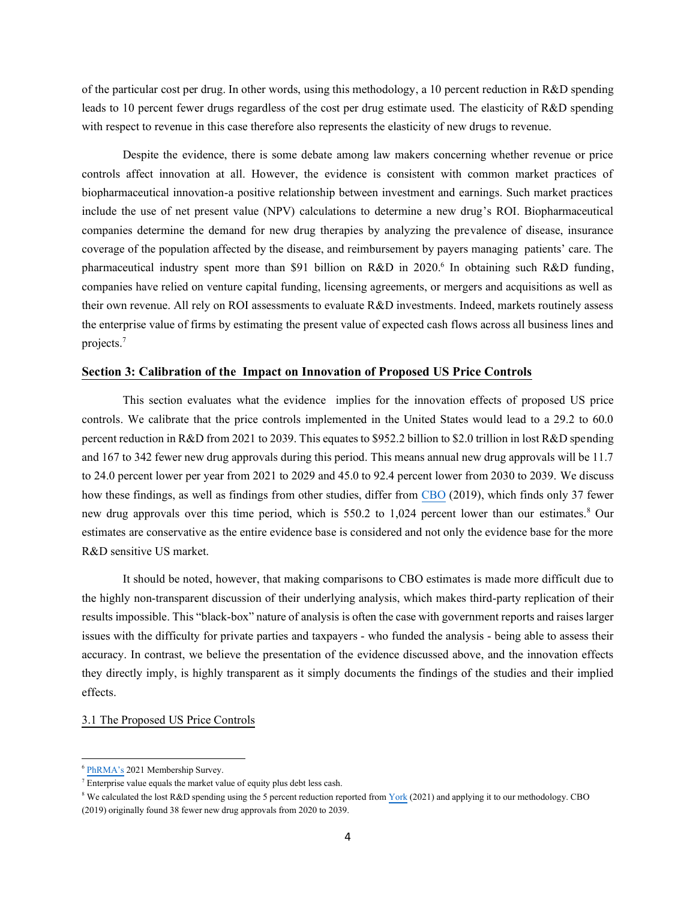of the particular cost per drug. In other words, using this methodology, a 10 percent reduction in R&D spending leads to 10 percent fewer drugs regardless of the cost per drug estimate used. The elasticity of R&D spending with respect to revenue in this case therefore also represents the elasticity of new drugs to revenue.

Despite the evidence, there is some debate among law makers concerning whether revenue or price controls affect innovation at all. However, the evidence is consistent with common market practices of biopharmaceutical innovation-a positive relationship between investment and earnings. Such market practices include the use of net present value (NPV) calculations to determine a new drug's ROI. Biopharmaceutical companies determine the demand for new drug therapies by analyzing the prevalence of disease, insurance coverage of the population affected by the disease, and reimbursement by payers managing patients' care. The pharmaceutical industry spent more than \$91 billion on R&D in 2020.<sup>6</sup> In obtaining such R&D funding, companies have relied on venture capital funding, licensing agreements, or mergers and acquisitions as well as their own revenue. All rely on ROI assessments to evaluate R&D investments. Indeed, markets routinely assess the enterprise value of firms by estimating the present value of expected cash flows across all business lines and projects.<sup>7</sup>

#### **Section 3: Calibration of the Impact on Innovation of Proposed US Price Controls**

This section evaluates what the evidence implies for the innovation effects of proposed US price controls. We calibrate that the price controls implemented in the United States would lead to a 29.2 to 60.0 percent reduction in R&D from 2021 to 2039. This equates to \$952.2 billion to \$2.0 trillion in lost R&D spending and 167 to 342 fewer new drug approvals during this period. This means annual new drug approvals will be 11.7 to 24.0 percent lower per year from 2021 to 2029 and 45.0 to 92.4 percent lower from 2030 to 2039. We discuss how these findings, as well as findings from other studies, differ from [CBO](https://www.cbo.gov/system/files/2019-12/hr3_complete.pdf) (2019), which finds only 37 fewer new drug approvals over this time period, which is 550.2 to 1,024 percent lower than our estimates.<sup>8</sup> Our estimates are conservative as the entire evidence base is considered and not only the evidence base for the more R&D sensitive US market.

It should be noted, however, that making comparisons to CBO estimates is made more difficult due to the highly non-transparent discussion of their underlying analysis, which makes third-party replication of their results impossible. This "black-box" nature of analysis is often the case with government reports and raises larger issues with the difficulty for private parties and taxpayers - who funded the analysis - being able to assess their accuracy. In contrast, we believe the presentation of the evidence discussed above, and the innovation effects they directly imply, is highly transparent as it simply documents the findings of the studies and their implied effects.

#### 3.1 The Proposed US Price Controls

<sup>&</sup>lt;sup>6</sup> [PhRMA's](https://www.phrma.org/research-and-development/2021-phrma-annual-membership-survey) 2021 Membership Survey.

 $\frac{7}{7}$  Enterprise value equals the market value of equity plus debt less cash.

<sup>&</sup>lt;sup>8</sup> We calculated the lost R&D spending using the 5 percent reduction reported fro[m York](https://taxfoundation.org/medicare-part-d-hr3-lower-drug-prices/) (2021) and applying it to our methodology. CBO (2019) originally found 38 fewer new drug approvals from 2020 to 2039.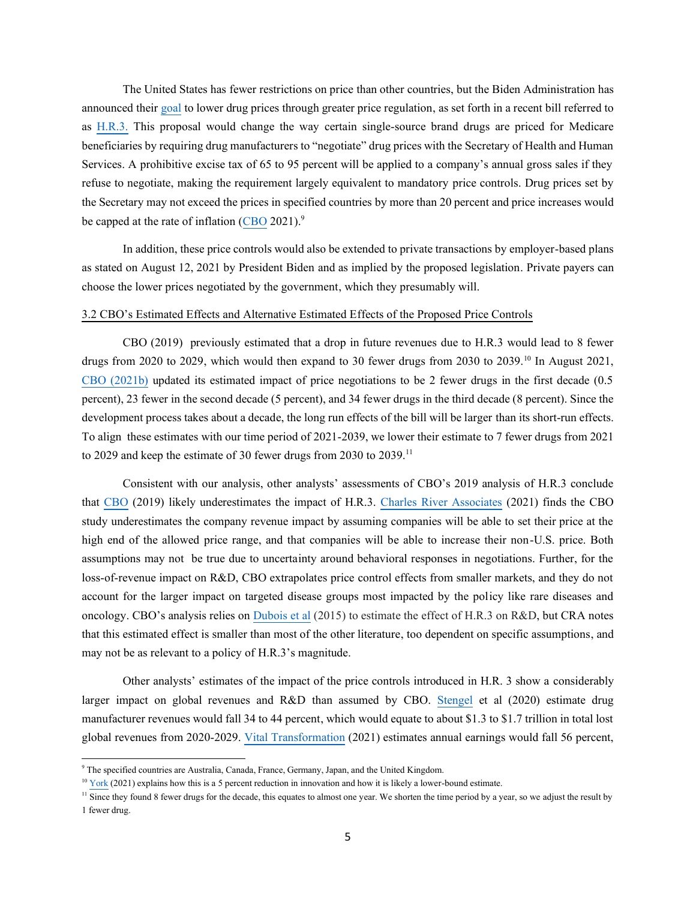The United States has fewer restrictions on price than other countries, but the Biden Administration has announced thei[r goal](https://www.whitehouse.gov/briefing-room/statements-releases/2021/08/12/fact-sheet-president-biden-calls-on-congress-to-lower-prescription-drug-prices/) to lower drug prices through greater price regulation, as set forth in a recent bill referred to as [H.R.3.](https://www.congress.gov/bill/116th-congress/house-bill/3) This proposal would change the way certain single-source brand drugs are priced for Medicare beneficiaries by requiring drug manufacturers to "negotiate" drug prices with the Secretary of Health and Human Services. A prohibitive excise tax of 65 to 95 percent will be applied to a company's annual gross sales if they refuse to negotiate, making the requirement largely equivalent to mandatory price controls. Drug prices set by the Secretary may not exceed the prices in specified countries by more than 20 percent and price increases would be capped at the rate of inflation [\(CBO](https://www.cbo.gov/publication/57126) 2021).<sup>9</sup>

In addition, these price controls would also be extended to private transactions by employer-based plans as stated on August 12, 2021 by President Biden and as implied by the proposed legislation. Private payers can choose the lower prices negotiated by the government, which they presumably will.

#### 3.2 CBO's Estimated Effects and Alternative Estimated Effects of the Proposed Price Controls

CBO (2019) previously estimated that a drop in future revenues due to H.R.3 would lead to 8 fewer drugs from 2020 to 2029, which would then expand to 30 fewer drugs from 2030 to 2039.<sup>10</sup> In August 2021, [CBO \(2021b\)](https://www.cbo.gov/system/files/2021-08/57010-New-Drug-Development.pdf) updated its estimated impact of price negotiations to be 2 fewer drugs in the first decade (0.5 percent), 23 fewer in the second decade (5 percent), and 34 fewer drugs in the third decade (8 percent). Since the development process takes about a decade, the long run effects of the bill will be larger than its short-run effects. To align these estimates with our time period of 2021-2039, we lower their estimate to 7 fewer drugs from 2021 to 2029 and keep the estimate of 30 fewer drugs from 2030 to 2039.<sup>11</sup>

Consistent with our analysis, other analysts' assessments of CBO's 2019 analysis of H.R.3 conclude that [CBO](https://www.cbo.gov/system/files/2019-12/hr3_complete.pdf) (2019) likely underestimates the impact of H.R.3. [Charles River Associates](https://www.crai.com/insights-events/publications/government-scorekeepers-likely-underestimate-the-impact-of-lower-drug-costs-now-act-h-r-3-on-investment-in-innovative-medicines-brief/) (2021) finds the CBO study underestimates the company revenue impact by assuming companies will be able to set their price at the high end of the allowed price range, and that companies will be able to increase their non-U.S. price. Both assumptions may not be true due to uncertainty around behavioral responses in negotiations. Further, for the loss-of-revenue impact on R&D, CBO extrapolates price control effects from smaller markets, and they do not account for the larger impact on targeted disease groups most impacted by the policy like rare diseases and oncology. CBO's analysis relies on [Dubois et al](https://onlinelibrary.wiley.com/doi/full/10.1111/1756-2171.12113) (2015) to estimate the effect of H.R.3 on R&D, but CRA notes that this estimated effect is smaller than most of the other literature, too dependent on specific assumptions, and may not be as relevant to a policy of H.R.3's magnitude.

Other analysts' estimates of the impact of the price controls introduced in H.R. 3 show a considerably larger impact on global revenues and R&D than assumed by CBO. [Stengel](https://avalere.com/insights/impact-of-h-r-3-scenarios-on-federal-spending-and-drug-manufacturer-revenues) et al (2020) estimate drug manufacturer revenues would fall 34 to 44 percent, which would equate to about \$1.3 to \$1.7 trillion in total lost global revenues from 2020-2029. [Vital Transformation](http://vitaltransformation.com/wp-content/uploads/2021/04/HR3_4.5.21_v10.1.pdf) (2021) estimates annual earnings would fall 56 percent,

<sup>&</sup>lt;sup>9</sup> The specified countries are Australia, Canada, France, Germany, Japan, and the United Kingdom.

 $10$  [York](https://taxfoundation.org/medicare-part-d-hr3-lower-drug-prices/) (2021) explains how this is a 5 percent reduction in innovation and how it is likely a lower-bound estimate.

<sup>&</sup>lt;sup>11</sup> Since they found 8 fewer drugs for the decade, this equates to almost one year. We shorten the time period by a year, so we adjust the result by 1 fewer drug.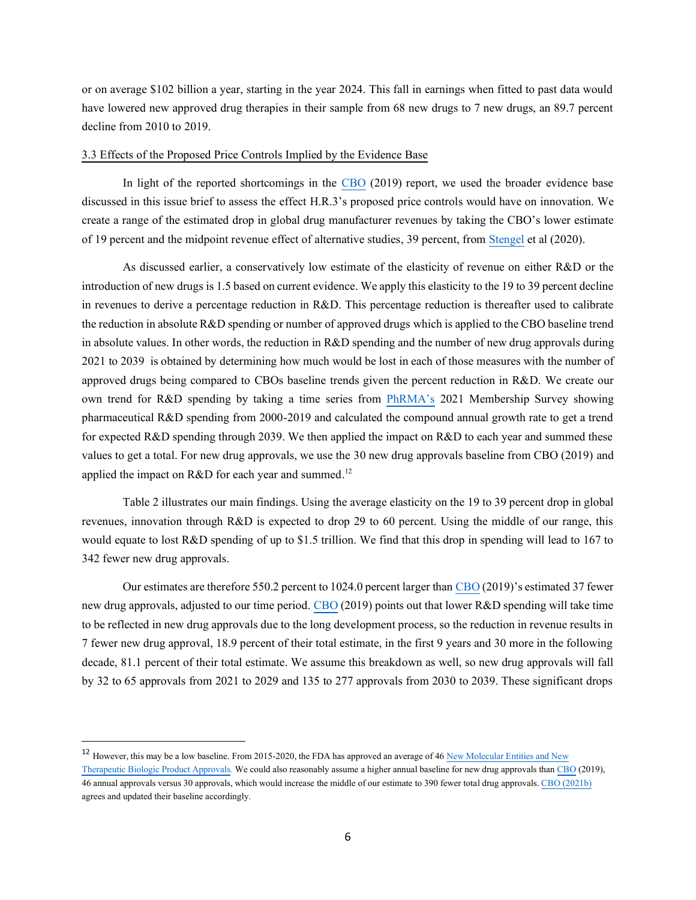or on average \$102 billion a year, starting in the year 2024. This fall in earnings when fitted to past data would have lowered new approved drug therapies in their sample from 68 new drugs to 7 new drugs, an 89.7 percent decline from 2010 to 2019.

#### 3.3 Effects of the Proposed Price Controls Implied by the Evidence Base

In light of the reported shortcomings in the [CBO](https://www.cbo.gov/system/files/2019-12/hr3_complete.pdf) (2019) report, we used the broader evidence base discussed in this issue brief to assess the effect H.R.3's proposed price controls would have on innovation. We create a range of the estimated drop in global drug manufacturer revenues by taking the CBO's lower estimate of 19 percent and the midpoint revenue effect of alternative studies, 39 percent, from [Stengel](https://avalere.com/insights/impact-of-h-r-3-scenarios-on-federal-spending-and-drug-manufacturer-revenues) et al (2020).

As discussed earlier, a conservatively low estimate of the elasticity of revenue on either R&D or the introduction of new drugs is 1.5 based on current evidence. We apply this elasticity to the 19 to 39 percent decline in revenues to derive a percentage reduction in R&D. This percentage reduction is thereafter used to calibrate the reduction in absolute R&D spending or number of approved drugs which is applied to the CBO baseline trend in absolute values. In other words, the reduction in R&D spending and the number of new drug approvals during 2021 to 2039 is obtained by determining how much would be lost in each of those measures with the number of approved drugs being compared to CBOs baseline trends given the percent reduction in R&D. We create our own trend for R&D spending by taking a time series from [PhRMA's](https://phrma.org/-/media/Project/PhRMA/PhRMA-Org/PhRMA-Org/PDF/P-R/PhRMA_Membership_Survey_2020.pdf) 2021 Membership Survey showing pharmaceutical R&D spending from 2000-2019 and calculated the compound annual growth rate to get a trend for expected R&D spending through 2039. We then applied the impact on R&D to each year and summed these values to get a total. For new drug approvals, we use the 30 new drug approvals baseline from CBO (2019) and applied the impact on R&D for each year and summed.<sup>12</sup>

Table 2 illustrates our main findings. Using the average elasticity on the 19 to 39 percent drop in global revenues, innovation through R&D is expected to drop 29 to 60 percent. Using the middle of our range, this would equate to lost R&D spending of up to \$1.5 trillion. We find that this drop in spending will lead to 167 to 342 fewer new drug approvals.

Our estimates are therefore 550.2 percent to 1024.0 percent larger tha[n CBO](https://www.cbo.gov/system/files/2019-12/hr3_complete.pdf) (2019)'s estimated 37 fewer new drug approvals, adjusted to our time period[. CBO](https://www.cbo.gov/system/files/2019-12/hr3_complete.pdf) (2019) points out that lower R&D spending will take time to be reflected in new drug approvals due to the long development process, so the reduction in revenue results in 7 fewer new drug approval, 18.9 percent of their total estimate, in the first 9 years and 30 more in the following decade, 81.1 percent of their total estimate. We assume this breakdown as well, so new drug approvals will fall by 32 to 65 approvals from 2021 to 2029 and 135 to 277 approvals from 2030 to 2039. These significant drops

<sup>12</sup> However, this may be a low baseline. From 2015-2020, the FDA has approved an average of 4[6 New Molecular Entities and New](https://www.fda.gov/drugs/development-approval-process-drugs/new-drugs-fda-cders-new-molecular-entities-and-new-therapeutic-biological-products)  [Therapeutic Biologic Product Approvals.](https://www.fda.gov/drugs/development-approval-process-drugs/new-drugs-fda-cders-new-molecular-entities-and-new-therapeutic-biological-products) We could also reasonably assume a higher annual baseline for new drug approvals tha[n CBO](https://www.cbo.gov/system/files/2019-12/hr3_complete.pdf) (2019), 46 annual approvals versus 30 approvals, which would increase the middle of our estimate to 390 fewer total drug approvals[. CBO \(2021b\)](https://www.cbo.gov/system/files/2021-08/57010-New-Drug-Development.pdf) agrees and updated their baseline accordingly.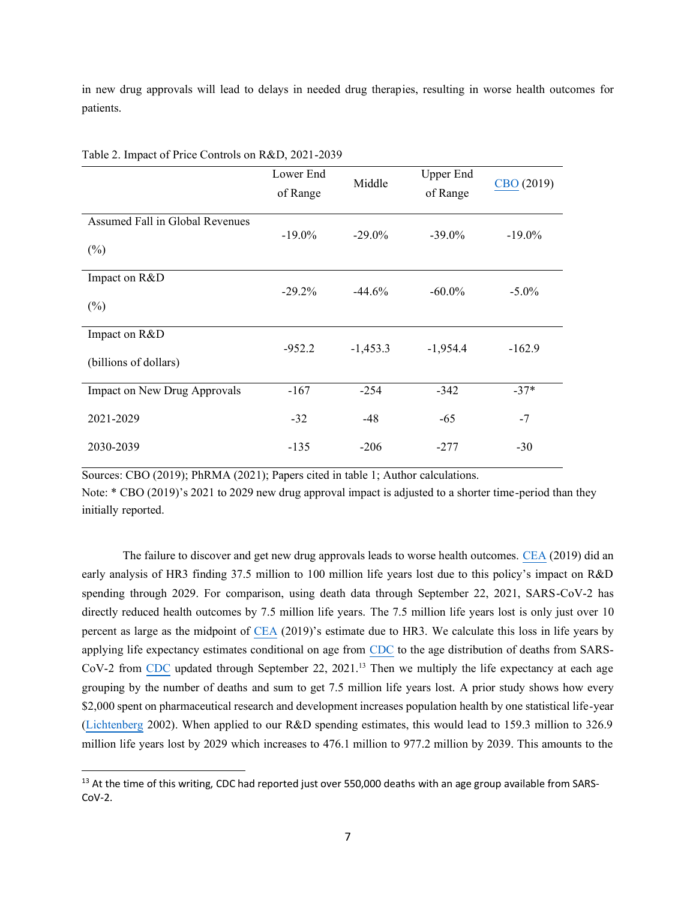in new drug approvals will lead to delays in needed drug therapies, resulting in worse health outcomes for patients.

|                                                                                                          | Lower End<br>of Range           | Middle                           | <b>Upper End</b><br>of Range      | CBO (2019)           |
|----------------------------------------------------------------------------------------------------------|---------------------------------|----------------------------------|-----------------------------------|----------------------|
|                                                                                                          |                                 |                                  |                                   |                      |
| Assumed Fall in Global Revenues                                                                          |                                 |                                  |                                   |                      |
|                                                                                                          | $-19.0\%$                       | $-29.0\%$                        | $-39.0\%$                         | $-19.0\%$            |
| $(\%)$                                                                                                   |                                 |                                  |                                   |                      |
|                                                                                                          |                                 |                                  |                                   |                      |
|                                                                                                          |                                 |                                  |                                   |                      |
|                                                                                                          |                                 |                                  |                                   |                      |
|                                                                                                          |                                 |                                  |                                   |                      |
|                                                                                                          |                                 |                                  |                                   |                      |
|                                                                                                          |                                 |                                  |                                   |                      |
|                                                                                                          |                                 |                                  |                                   |                      |
|                                                                                                          |                                 |                                  |                                   |                      |
|                                                                                                          |                                 |                                  |                                   | $-37*$               |
|                                                                                                          |                                 |                                  |                                   |                      |
| 2021-2029                                                                                                | $-32$                           | $-48$                            | $-65$                             | $-7$                 |
|                                                                                                          |                                 |                                  |                                   |                      |
| 2030-2039                                                                                                | $-135$                          | $-206$                           | $-277$                            | $-30$                |
| Impact on R&D<br>$(\%)$<br>Impact on R&D<br>(billions of dollars)<br><b>Impact on New Drug Approvals</b> | $-29.2\%$<br>$-952.2$<br>$-167$ | $-44.6%$<br>$-1,453.3$<br>$-254$ | $-60.0\%$<br>$-1,954.4$<br>$-342$ | $-5.0\%$<br>$-162.9$ |

Table 2. Impact of Price Controls on R&D, 2021-2039

Sources: CBO (2019); PhRMA (2021); Papers cited in table 1; Author calculations.

Note: \* CBO (2019)'s 2021 to 2029 new drug approval impact is adjusted to a shorter time-period than they initially reported.

The failure to discover and get new drug approvals leads to worse health outcomes. [CEA](https://trumpwhitehouse.archives.gov/articles/house-drug-pricing-bill-keep-100-lifesaving-drugs-american-patients/) (2019) did an early analysis of HR3 finding 37.5 million to 100 million life years lost due to this policy's impact on R&D spending through 2029. For comparison, using death data through September 22, 2021, SARS-CoV-2 has directly reduced health outcomes by 7.5 million life years. The 7.5 million life years lost is only just over 10 percent as large as the midpoint of [CEA](https://trumpwhitehouse.archives.gov/articles/house-drug-pricing-bill-keep-100-lifesaving-drugs-american-patients/) (2019)'s estimate due to HR3. We calculate this loss in life years by applying life expectancy estimates conditional on age from [CDC](https://www.cdc.gov/nchs/nvss/life-expectancy.htm#data) to the age distribution of deaths from SARS- $Cov-2$  from [CDC](https://covid.cdc.gov/covid-data-tracker/#demographics) updated through September 22, 2021.<sup>13</sup> Then we multiply the life expectancy at each age grouping by the number of deaths and sum to get 7.5 million life years lost. A prior study shows how every \$2,000 spent on pharmaceutical research and development increases population health by one statistical life-year [\(Lichtenberg](https://papers.ssrn.com/sol3/papers.cfm?abstract_id=299167) 2002). When applied to our R&D spending estimates, this would lead to 159.3 million to 326.9 million life years lost by 2029 which increases to 476.1 million to 977.2 million by 2039. This amounts to the

<sup>&</sup>lt;sup>13</sup> At the time of this writing, CDC had reported just over 550,000 deaths with an age group available from SARS- $Cov-2$ .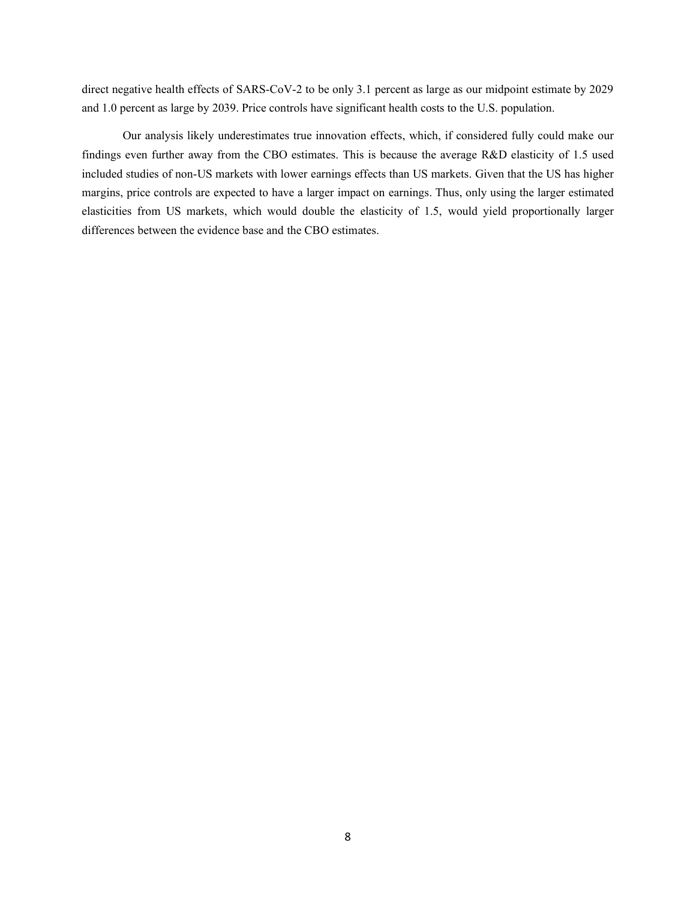direct negative health effects of SARS-CoV-2 to be only 3.1 percent as large as our midpoint estimate by 2029 and 1.0 percent as large by 2039. Price controls have significant health costs to the U.S. population.

Our analysis likely underestimates true innovation effects, which, if considered fully could make our findings even further away from the CBO estimates. This is because the average R&D elasticity of 1.5 used included studies of non-US markets with lower earnings effects than US markets. Given that the US has higher margins, price controls are expected to have a larger impact on earnings. Thus, only using the larger estimated elasticities from US markets, which would double the elasticity of 1.5, would yield proportionally larger differences between the evidence base and the CBO estimates.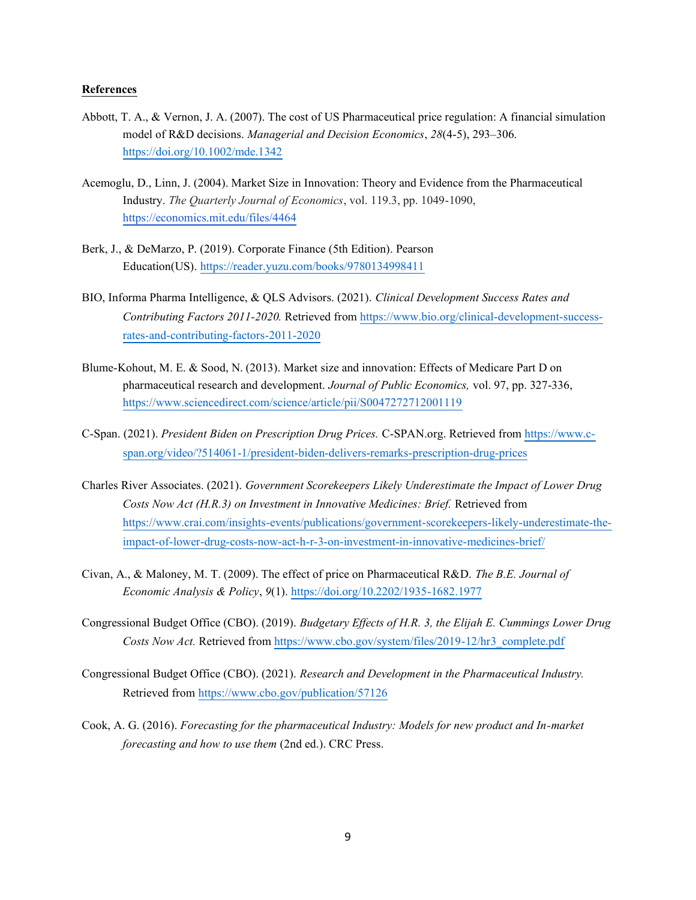#### **References**

- Abbott, T. A., & Vernon, J. A. (2007). The cost of US Pharmaceutical price regulation: A financial simulation model of R&D decisions. *Managerial and Decision Economics*, *28*(4-5), 293–306. <https://doi.org/10.1002/mde.1342>
- Acemoglu, D., Linn, J. (2004). Market Size in Innovation: Theory and Evidence from the Pharmaceutical Industry. *The Quarterly Journal of Economics*, vol. 119.3, pp. 1049-1090, <https://economics.mit.edu/files/4464>
- Berk, J., & DeMarzo, P. (2019). Corporate Finance (5th Edition). Pearson Education(US). <https://reader.yuzu.com/books/9780134998411>
- BIO, Informa Pharma Intelligence, & QLS Advisors. (2021). *Clinical Development Success Rates and Contributing Factors 2011-2020.* Retrieved fro[m https://www.bio.org/clinical-development-success](https://www.bio.org/clinical-development-success-rates-and-contributing-factors-2011-2020)[rates-and-contributing-factors-2011-2020](https://www.bio.org/clinical-development-success-rates-and-contributing-factors-2011-2020)
- Blume-Kohout, M. E. & Sood, N. (2013). Market size and innovation: Effects of Medicare Part D on pharmaceutical research and development. *Journal of Public Economics,* vol. 97, pp. 327-336, <https://www.sciencedirect.com/science/article/pii/S0047272712001119>
- C-Span. (2021). *President Biden on Prescription Drug Prices.* C-SPAN.org. Retrieved from [https://www.c](https://www.c-span.org/video/?514061-1/president-biden-delivers-remarks-prescription-drug-prices)[span.org/video/?514061-1/president-biden-delivers-remarks-prescription-drug-prices](https://www.c-span.org/video/?514061-1/president-biden-delivers-remarks-prescription-drug-prices)
- Charles River Associates. (2021). *Government Scorekeepers Likely Underestimate the Impact of Lower Drug Costs Now Act (H.R.3) on Investment in Innovative Medicines: Brief.* Retrieved from [https://www.crai.com/insights-events/publications/government-scorekeepers-likely-underestimate-the](https://www.crai.com/insights-events/publications/government-scorekeepers-likely-underestimate-the-impact-of-lower-drug-costs-now-act-h-r-3-on-investment-in-innovative-medicines-brief/)[impact-of-lower-drug-costs-now-act-h-r-3-on-investment-in-innovative-medicines-brief/](https://www.crai.com/insights-events/publications/government-scorekeepers-likely-underestimate-the-impact-of-lower-drug-costs-now-act-h-r-3-on-investment-in-innovative-medicines-brief/)
- Civan, A., & Maloney, M. T. (2009). The effect of price on Pharmaceutical R&D. *The B.E. Journal of Economic Analysis & Policy*, *9*(1).<https://doi.org/10.2202/1935-1682.1977>
- Congressional Budget Office (CBO). (2019). *Budgetary Effects of H.R. 3, the Elijah E. Cummings Lower Drug Costs Now Act.* Retrieved from [https://www.cbo.gov/system/files/2019-12/hr3\\_complete.pdf](https://www.cbo.gov/system/files/2019-12/hr3_complete.pdf)
- Congressional Budget Office (CBO). (2021). *Research and Development in the Pharmaceutical Industry.* Retrieved from<https://www.cbo.gov/publication/57126>
- Cook, A. G. (2016). *Forecasting for the pharmaceutical Industry: Models for new product and In-market forecasting and how to use them* (2nd ed.). CRC Press.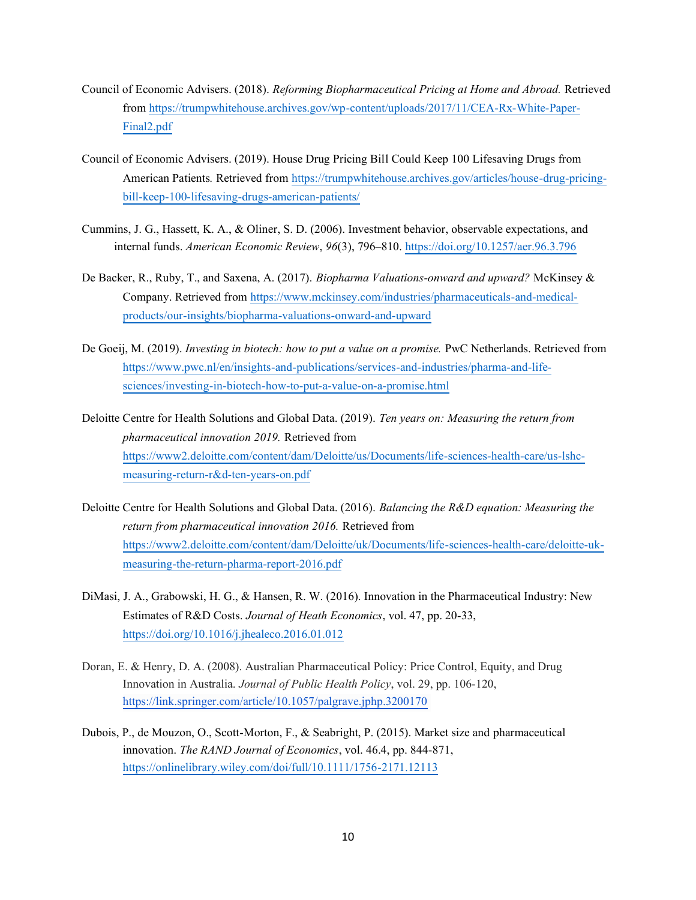- Council of Economic Advisers. (2018). *Reforming Biopharmaceutical Pricing at Home and Abroad.* Retrieved from [https://trumpwhitehouse.archives.gov/wp-content/uploads/2017/11/CEA-Rx-White-Paper-](https://trumpwhitehouse.archives.gov/wp-content/uploads/2017/11/CEA-Rx-White-Paper-Final2.pdf)[Final2.pdf](https://trumpwhitehouse.archives.gov/wp-content/uploads/2017/11/CEA-Rx-White-Paper-Final2.pdf)
- Council of Economic Advisers. (2019). House Drug Pricing Bill Could Keep 100 Lifesaving Drugs from American Patients*.* Retrieved from [https://trumpwhitehouse.archives.gov/articles/house-drug-pricing](https://trumpwhitehouse.archives.gov/articles/house-drug-pricing-bill-keep-100-lifesaving-drugs-american-patients/)[bill-keep-100-lifesaving-drugs-american-patients/](https://trumpwhitehouse.archives.gov/articles/house-drug-pricing-bill-keep-100-lifesaving-drugs-american-patients/)
- Cummins, J. G., Hassett, K. A., & Oliner, S. D. (2006). Investment behavior, observable expectations, and internal funds. *American Economic Review*, *96*(3), 796–810.<https://doi.org/10.1257/aer.96.3.796>
- De Backer, R., Ruby, T., and Saxena, A. (2017). *Biopharma Valuations-onward and upward?* McKinsey & Company. Retrieved from [https://www.mckinsey.com/industries/pharmaceuticals-and-medical](https://www.mckinsey.com/industries/pharmaceuticals-and-medical-products/our-insights/biopharma-valuations-onward-and-upward)[products/our-insights/biopharma-valuations-onward-and-upward](https://www.mckinsey.com/industries/pharmaceuticals-and-medical-products/our-insights/biopharma-valuations-onward-and-upward)
- De Goeij, M. (2019). *Investing in biotech: how to put a value on a promise.* PwC Netherlands. Retrieved from [https://www.pwc.nl/en/insights-and-publications/services-and-industries/pharma-and-life](https://www.pwc.nl/en/insights-and-publications/services-and-industries/pharma-and-life-sciences/investing-in-biotech-how-to-put-a-value-on-a-promise.html)[sciences/investing-in-biotech-how-to-put-a-value-on-a-promise.html](https://www.pwc.nl/en/insights-and-publications/services-and-industries/pharma-and-life-sciences/investing-in-biotech-how-to-put-a-value-on-a-promise.html)
- Deloitte Centre for Health Solutions and Global Data. (2019). *Ten years on: Measuring the return from pharmaceutical innovation 2019.* Retrieved from [https://www2.deloitte.com/content/dam/Deloitte/us/Documents/life-sciences-health-care/us-lshc](https://www2.deloitte.com/content/dam/Deloitte/us/Documents/life-sciences-health-care/us-lshc-measuring-return-r&d-ten-years-on.pdf)[measuring-return-r&d-ten-years-on.pdf](https://www2.deloitte.com/content/dam/Deloitte/us/Documents/life-sciences-health-care/us-lshc-measuring-return-r&d-ten-years-on.pdf)
- Deloitte Centre for Health Solutions and Global Data. (2016). *Balancing the R&D equation: Measuring the return from pharmaceutical innovation 2016.* Retrieved from [https://www2.deloitte.com/content/dam/Deloitte/uk/Documents/life-sciences-health-care/deloitte-uk](https://www2.deloitte.com/content/dam/Deloitte/uk/Documents/life-sciences-health-care/deloitte-uk-measuring-the-return-pharma-report-2016.pdf)[measuring-the-return-pharma-report-2016.pdf](https://www2.deloitte.com/content/dam/Deloitte/uk/Documents/life-sciences-health-care/deloitte-uk-measuring-the-return-pharma-report-2016.pdf)
- DiMasi, J. A., Grabowski, H. G., & Hansen, R. W. (2016). Innovation in the Pharmaceutical Industry: New Estimates of R&D Costs. *Journal of Heath Economics*, vol. 47, pp. 20-33, <https://doi.org/10.1016/j.jhealeco.2016.01.012>
- Doran, E. & Henry, D. A. (2008). Australian Pharmaceutical Policy: Price Control, Equity, and Drug Innovation in Australia. *Journal of Public Health Policy*, vol. 29, pp. 106-120, <https://link.springer.com/article/10.1057/palgrave.jphp.3200170>
- Dubois, P., de Mouzon, O., Scott-Morton, F., & Seabright, P. (2015). Market size and pharmaceutical innovation. *The RAND Journal of Economics*, vol. 46.4, pp. 844-871, <https://onlinelibrary.wiley.com/doi/full/10.1111/1756-2171.12113>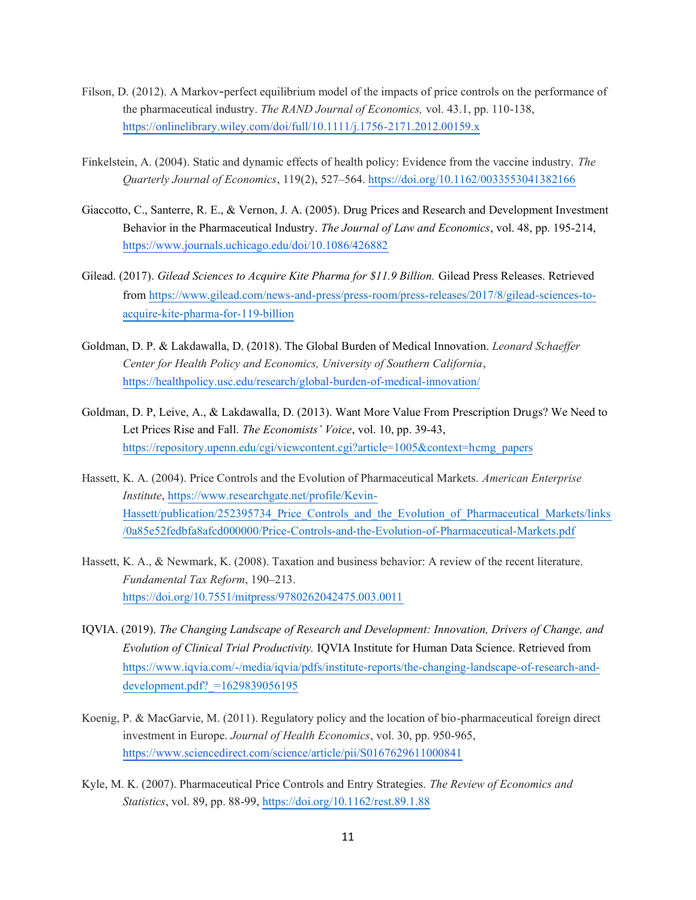- Filson, D. (2012). A Markov-perfect equilibrium model of the impacts of price controls on the performance of the pharmaceutical industry. *The RAND Journal of Economics,* vol. 43.1, pp. 110-138, <https://onlinelibrary.wiley.com/doi/full/10.1111/j.1756-2171.2012.00159.x>
- Finkelstein, A. (2004). Static and dynamic effects of health policy: Evidence from the vaccine industry. *The Quarterly Journal of Economics*, 119(2), 527–564.<https://doi.org/10.1162/0033553041382166>
- Giaccotto, C., Santerre, R. E., & Vernon, J. A. (2005). Drug Prices and Research and Development Investment Behavior in the Pharmaceutical Industry. *The Journal of Law and Economics*, vol. 48, pp. 195-214, <https://www.journals.uchicago.edu/doi/10.1086/426882>
- Gilead. (2017). *Gilead Sciences to Acquire Kite Pharma for \$11.9 Billion.* Gilead Press Releases. Retrieved from [https://www.gilead.com/news-and-press/press-room/press-releases/2017/8/gilead-sciences-to](https://www.gilead.com/news-and-press/press-room/press-releases/2017/8/gilead-sciences-to-acquire-kite-pharma-for-119-billion)[acquire-kite-pharma-for-119-billion](https://www.gilead.com/news-and-press/press-room/press-releases/2017/8/gilead-sciences-to-acquire-kite-pharma-for-119-billion)
- Goldman, D. P. & Lakdawalla, D. (2018). The Global Burden of Medical Innovation. *Leonard Schaeffer Center for Health Policy and Economics, University of Southern California*, <https://healthpolicy.usc.edu/research/global-burden-of-medical-innovation/>
- Goldman, D. P, Leive, A., & Lakdawalla, D. (2013). Want More Value From Prescription Drugs? We Need to Let Prices Rise and Fall. *The Economists' Voice*, vol. 10, pp. 39-43, [https://repository.upenn.edu/cgi/viewcontent.cgi?article=1005&context=hcmg\\_papers](https://repository.upenn.edu/cgi/viewcontent.cgi?article=1005&context=hcmg_papers)
- Hassett, K. A. (2004). Price Controls and the Evolution of Pharmaceutical Markets. *American Enterprise Institute*, [https://www.researchgate.net/profile/Kevin-](https://www.researchgate.net/profile/Kevin-Hassett/publication/252395734_Price_Controls_and_the_Evolution_of_Pharmaceutical_Markets/links/0a85e52fedbfa8afcd000000/Price-Controls-and-the-Evolution-of-Pharmaceutical-Markets.pdf)Hassett/publication/252395734 Price Controls and the Evolution of Pharmaceutical Markets/links [/0a85e52fedbfa8afcd000000/Price-Controls-and-the-Evolution-of-Pharmaceutical-Markets.pdf](https://www.researchgate.net/profile/Kevin-Hassett/publication/252395734_Price_Controls_and_the_Evolution_of_Pharmaceutical_Markets/links/0a85e52fedbfa8afcd000000/Price-Controls-and-the-Evolution-of-Pharmaceutical-Markets.pdf)
- Hassett, K. A., & Newmark, K. (2008). Taxation and business behavior: A review of the recent literature. *Fundamental Tax Reform*, 190–213. <https://doi.org/10.7551/mitpress/9780262042475.003.0011>
- IQVIA. (2019). *The Changing Landscape of Research and Development: Innovation, Drivers of Change, and Evolution of Clinical Trial Productivity.* IQVIA Institute for Human Data Science. Retrieved from [https://www.iqvia.com/-/media/iqvia/pdfs/institute-reports/the-changing-landscape-of-research-and](https://www.iqvia.com/-/media/iqvia/pdfs/institute-reports/the-changing-landscape-of-research-and-development.pdf?_=1629839056195)[development.pdf?\\_=1629839056195](https://www.iqvia.com/-/media/iqvia/pdfs/institute-reports/the-changing-landscape-of-research-and-development.pdf?_=1629839056195)
- Koenig, P. & MacGarvie, M. (2011). Regulatory policy and the location of bio-pharmaceutical foreign direct investment in Europe. *Journal of Health Economics*, vol. 30, pp. 950-965, <https://www.sciencedirect.com/science/article/pii/S0167629611000841>
- Kyle, M. K. (2007). Pharmaceutical Price Controls and Entry Strategies. *The Review of Economics and Statistics*, vol. 89, pp. 88-99[, https://doi.org/10.1162/rest.89.1.88](https://doi.org/10.1162/rest.89.1.88)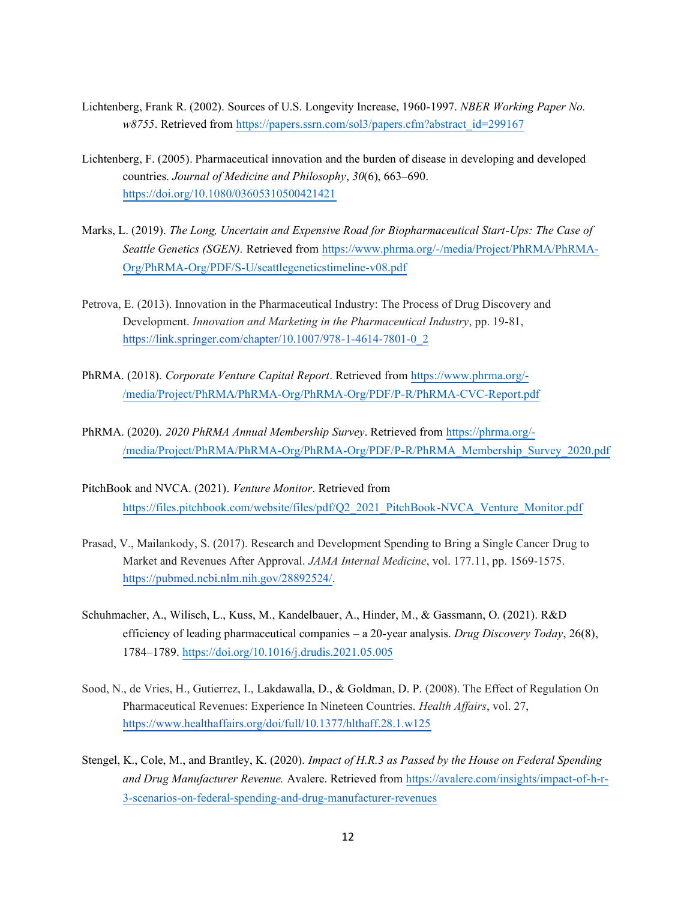- Lichtenberg, Frank R. (2002). Sources of U.S. Longevity Increase, 1960-1997. *NBER Working Paper No. w8755*. Retrieved from [https://papers.ssrn.com/sol3/papers.cfm?abstract\\_id=299167](https://papers.ssrn.com/sol3/papers.cfm?abstract_id=299167)
- Lichtenberg, F. (2005). Pharmaceutical innovation and the burden of disease in developing and developed countries. *Journal of Medicine and Philosophy*, *30*(6), 663–690. <https://doi.org/10.1080/03605310500421421>
- Marks, L. (2019). *The Long, Uncertain and Expensive Road for Biopharmaceutical Start-Ups: The Case of Seattle Genetics (SGEN).* Retrieved from [https://www.phrma.org/-/media/Project/PhRMA/PhRMA-](https://www.phrma.org/-/media/Project/PhRMA/PhRMA-Org/PhRMA-Org/PDF/S-U/seattlegeneticstimeline-v08.pdf)[Org/PhRMA-Org/PDF/S-U/seattlegeneticstimeline-v08.pdf](https://www.phrma.org/-/media/Project/PhRMA/PhRMA-Org/PhRMA-Org/PDF/S-U/seattlegeneticstimeline-v08.pdf)
- Petrova, E. (2013). Innovation in the Pharmaceutical Industry: The Process of Drug Discovery and Development. *Innovation and Marketing in the Pharmaceutical Industry*, pp. 19-81, [https://link.springer.com/chapter/10.1007/978-1-4614-7801-0\\_2](https://link.springer.com/chapter/10.1007/978-1-4614-7801-0_2)
- PhRMA. (2018). *Corporate Venture Capital Report*. Retrieved from [https://www.phrma.org/-](https://www.phrma.org/-/media/Project/PhRMA/PhRMA-Org/PhRMA-Org/PDF/P-R/PhRMA-CVC-Report.pdf) [/media/Project/PhRMA/PhRMA-Org/PhRMA-Org/PDF/P-R/PhRMA-CVC-Report.pdf](https://www.phrma.org/-/media/Project/PhRMA/PhRMA-Org/PhRMA-Org/PDF/P-R/PhRMA-CVC-Report.pdf)
- PhRMA. (2020). *2020 PhRMA Annual Membership Survey*. Retrieved from [https://phrma.org/-](https://phrma.org/-/media/Project/PhRMA/PhRMA-Org/PhRMA-Org/PDF/P-R/PhRMA_Membership_Survey_2020.pdf) [/media/Project/PhRMA/PhRMA-Org/PhRMA-Org/PDF/P-R/PhRMA\\_Membership\\_Survey\\_2020.pdf](https://phrma.org/-/media/Project/PhRMA/PhRMA-Org/PhRMA-Org/PDF/P-R/PhRMA_Membership_Survey_2020.pdf)
- PitchBook and NVCA. (2021). *Venture Monitor*. Retrieved from [https://files.pitchbook.com/website/files/pdf/Q2\\_2021\\_PitchBook-NVCA\\_Venture\\_Monitor.pdf](https://files.pitchbook.com/website/files/pdf/Q2_2021_PitchBook-NVCA_Venture_Monitor.pdf)
- Prasad, V., Mailankody, S. (2017). Research and Development Spending to Bring a Single Cancer Drug to Market and Revenues After Approval. *JAMA Internal Medicine*, vol. 177.11, pp. 1569-1575. [https://pubmed.ncbi.nlm.nih.gov/28892524/.](https://pubmed.ncbi.nlm.nih.gov/28892524/)
- Schuhmacher, A., Wilisch, L., Kuss, M., Kandelbauer, A., Hinder, M., & Gassmann, O. (2021). R&D efficiency of leading pharmaceutical companies – a 20-year analysis. *Drug Discovery Today*, 26(8), 1784–1789.<https://doi.org/10.1016/j.drudis.2021.05.005>
- Sood, N., de Vries, H., Gutierrez, I., Lakdawalla, D., & Goldman, D. P. (2008). The Effect of Regulation On Pharmaceutical Revenues: Experience In Nineteen Countries. *Health Affairs*, vol. 27, <https://www.healthaffairs.org/doi/full/10.1377/hlthaff.28.1.w125>
- Stengel, K., Cole, M., and Brantley, K. (2020). *Impact of H.R.3 as Passed by the House on Federal Spending and Drug Manufacturer Revenue.* Avalere. Retrieved from [https://avalere.com/insights/impact-of-h-r-](https://avalere.com/insights/impact-of-h-r-3-scenarios-on-federal-spending-and-drug-manufacturer-revenues)[3-scenarios-on-federal-spending-and-drug-manufacturer-revenues](https://avalere.com/insights/impact-of-h-r-3-scenarios-on-federal-spending-and-drug-manufacturer-revenues)